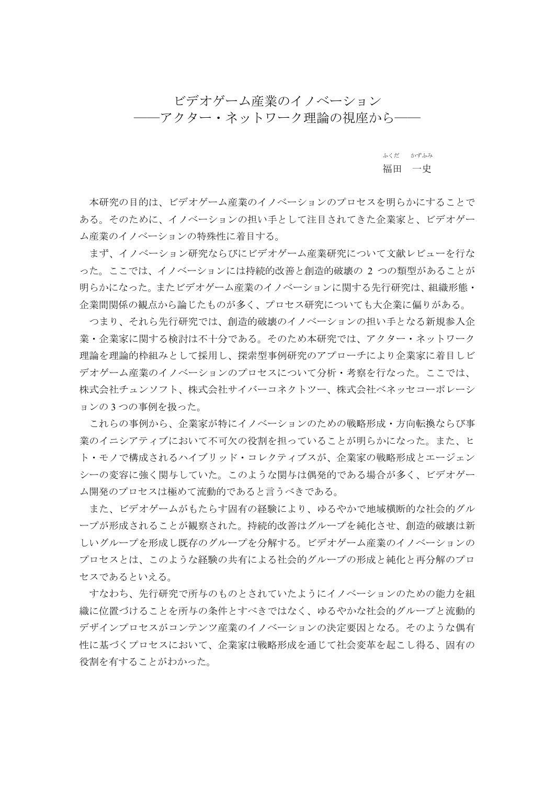ビデオゲーム産業のイノベーション ――アクター・ネットワーク理論の視座から――

ふくだ かずふみ 福田 一史

 本研究の目的は、ビデオゲーム産業のイノベーションのプロセスを明らかにすることで ある。そのために、イノベーションの担い手として注目されてきた企業家と、ビデオゲー ム産業のイノベーションの特殊性に着目する。

 まず、イノベーション研究ならびにビデオゲーム産業研究について文献レビューを行な った。ここでは、イノベーションには持続的改善と創造的破壊の 2 つの類型があることが 明らかになった。またビデオゲーム産業のイノベーションに関する先行研究は、組織形態・ 企業間関係の観点から論じたものが多く、プロセス研究についても大企業に偏りがある。

 つまり、それら先行研究では、創造的破壊のイノベーションの担い手となる新規参入企 業・企業家に関する検討は不十分である。そのため本研究では、アクター・ネットワーク 理論を理論的枠組みとして採用し、探索型事例研究のアプローチにより企業家に着目しビ デオゲーム産業のイノベーションのプロセスについて分析・考察を行なった。ここでは、 株式会社チュンソフト、株式会社サイバーコネクトツー、株式会社ベネッセコーポレーシ ョンの 3 つの事例を扱った。

 これらの事例から、企業家が特にイノベーションのための戦略形成・方向転換ならび事 業のイニシアティブにおいて不可欠の役割を担っていることが明らかになった。また、ヒ ト・モノで構成されるハイブリッド・コレクティブスが、企業家の戦略形成とエージェン シーの変容に強く関与していた。このような関与は偶発的である場合が多く、ビデオゲー ム開発のプロセスは極めて流動的であると言うべきである。

 また、ビデオゲームがもたらす固有の経験により、ゆるやかで地域横断的な社会的グル ープが形成されることが観察された。持続的改善はグループを純化させ、創造的破壊は新 しいグループを形成し既存のグループを分解する。ビデオゲーム産業のイノベーションの プロセスとは、このような経験の共有による社会的グループの形成と純化と再分解のプロ セスであるといえる。

 すなわち、先行研究で所与のものとされていたようにイノベーションのための能力を組 織に位置づけることを所与の条件とすべきではなく、ゆるやかな社会的グループと流動的 デザインプロセスがコンテンツ産業のイノベーションの決定要因となる。そのような偶有 性に基づくプロセスにおいて、企業家は戦略形成を通じて社会変革を起こし得る、固有の 役割を有することがわかった。